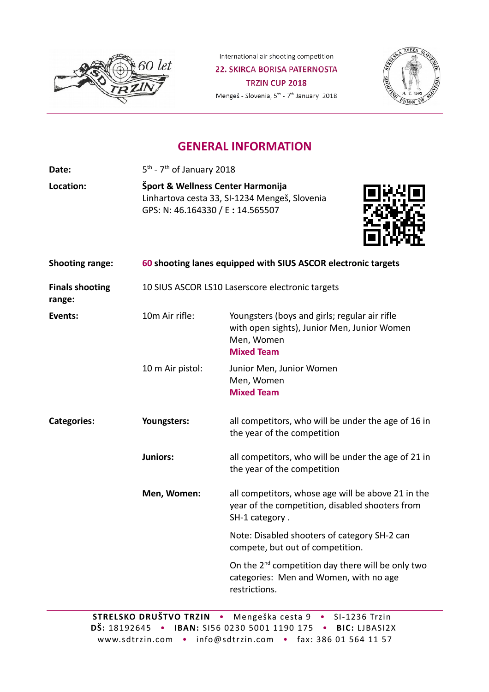



# **GENERAL INFORMATION**

Date:

**Location: Šport & Wellness Center Harmonija** Linhartova cesta 33, SI-1234 Mengeš, Slovenia GPS: N: 46.164330 / E **:** 14.565507

 $5^{\text{th}}$  - 7<sup>th</sup> of January 2018



| <b>Shooting range:</b>           | 60 shooting lanes equipped with SIUS ASCOR electronic targets |                                                                                                                                 |
|----------------------------------|---------------------------------------------------------------|---------------------------------------------------------------------------------------------------------------------------------|
| <b>Finals shooting</b><br>range: |                                                               | 10 SIUS ASCOR LS10 Laserscore electronic targets                                                                                |
| Events:                          | 10m Air rifle:                                                | Youngsters (boys and girls; regular air rifle<br>with open sights), Junior Men, Junior Women<br>Men, Women<br><b>Mixed Team</b> |
|                                  | 10 m Air pistol:                                              | Junior Men, Junior Women<br>Men, Women<br><b>Mixed Team</b>                                                                     |
| <b>Categories:</b>               | Youngsters:                                                   | all competitors, who will be under the age of 16 in<br>the year of the competition                                              |
|                                  | <b>Juniors:</b>                                               | all competitors, who will be under the age of 21 in<br>the year of the competition                                              |
|                                  | Men, Women:                                                   | all competitors, whose age will be above 21 in the<br>year of the competition, disabled shooters from<br>SH-1 category.         |
|                                  |                                                               | Note: Disabled shooters of category SH-2 can<br>compete, but out of competition.                                                |
|                                  |                                                               | On the 2 <sup>nd</sup> competition day there will be only two<br>categories: Men and Women, with no age<br>restrictions.        |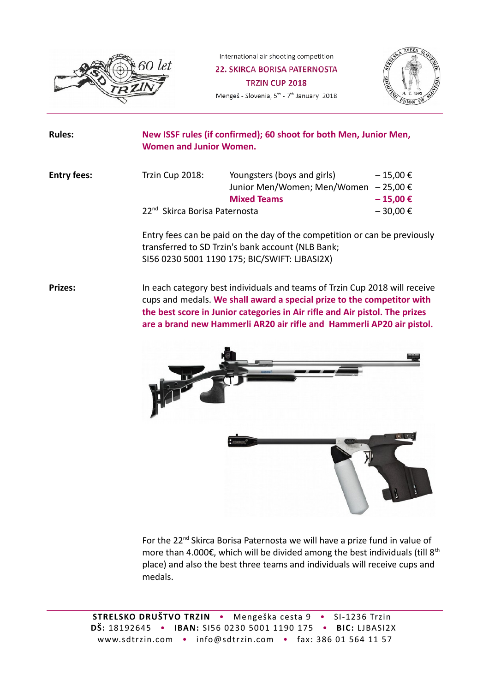

International air shooting competition

22. SKIRCA BORISA PATERNOSTA

TRZIN CUP 2018

Mengeš - Slovenia, 5<sup>th</sup> - 7<sup>th</sup> January 2018



| <b>Rules:</b>      | <b>Women and Junior Women.</b>            | New ISSF rules (if confirmed); 60 shoot for both Men, Junior Men,                          |                              |
|--------------------|-------------------------------------------|--------------------------------------------------------------------------------------------|------------------------------|
| <b>Entry fees:</b> | Trzin Cup 2018:                           | Youngsters (boys and girls)<br>Junior Men/Women; Men/Women - 25,00 €<br><b>Mixed Teams</b> | $-15,00 \in$<br>$-15,00 \in$ |
|                    | 22 <sup>nd</sup> Skirca Borisa Paternosta |                                                                                            | $-30,00 \in$                 |

Entry fees can be paid on the day of the competition or can be previously transferred to SD Trzin's bank account (NLB Bank; SI56 0230 5001 1190 175; BIC/SWIFT: LJBASI2X)

**Prizes:** In each category best individuals and teams of Trzin Cup 2018 will receive cups and medals. **We shall award a special prize to the competitor with the best score in Junior categories in Air rifle and Air pistol. The prizes are a brand new Hammerli AR20 air rifle and Hammerli AP20 air pistol.**



For the 22<sup>nd</sup> Skirca Borisa Paternosta we will have a prize fund in value of more than 4.000€, which will be divided among the best individuals (till  $8<sup>th</sup>$ place) and also the best three teams and individuals will receive cups and medals.

**STRELSKO DRUŠTVO TRZIN** • Mengeška cesta 9 • SI-1236 Trzin **DŠ:** 18192645 • **IBAN:** SI56 0230 5001 1190 175 • **BIC:** LJBASI2X www.sdtrzin.com • info@sdtrzin.com • fax: 386 01 564 11 57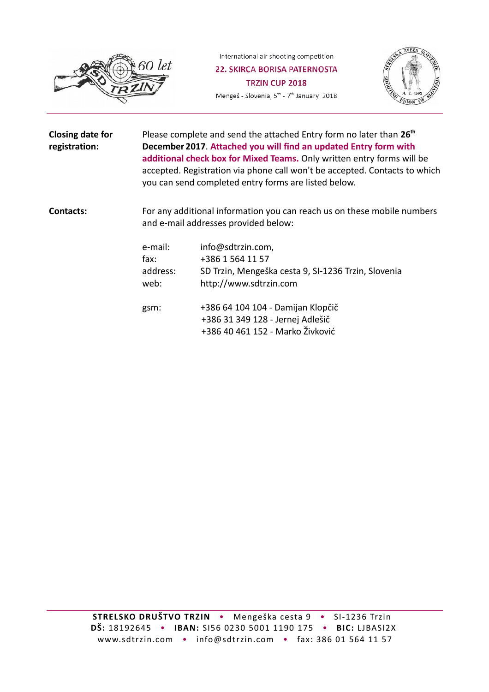



| Closing date for<br>registration: | Please complete and send the attached Entry form no later than 26 <sup>th</sup><br>December 2017. Attached you will find an updated Entry form with<br>additional check box for Mixed Teams. Only written entry forms will be<br>accepted. Registration via phone call won't be accepted. Contacts to which<br>you can send completed entry forms are listed below. |                                                                                                                                                                                                                                     |
|-----------------------------------|---------------------------------------------------------------------------------------------------------------------------------------------------------------------------------------------------------------------------------------------------------------------------------------------------------------------------------------------------------------------|-------------------------------------------------------------------------------------------------------------------------------------------------------------------------------------------------------------------------------------|
| <b>Contacts:</b>                  | For any additional information you can reach us on these mobile numbers<br>and e-mail addresses provided below:                                                                                                                                                                                                                                                     |                                                                                                                                                                                                                                     |
|                                   | e-mail:<br>fax:<br>address:<br>web:<br>gsm:                                                                                                                                                                                                                                                                                                                         | info@sdtrzin.com,<br>+386 1 564 11 57<br>SD Trzin, Mengeška cesta 9, SI-1236 Trzin, Slovenia<br>http://www.sdtrzin.com<br>+386 64 104 104 - Damijan Klopčič<br>+386 31 349 128 - Jernej Adlešič<br>+386 40 461 152 - Marko Živković |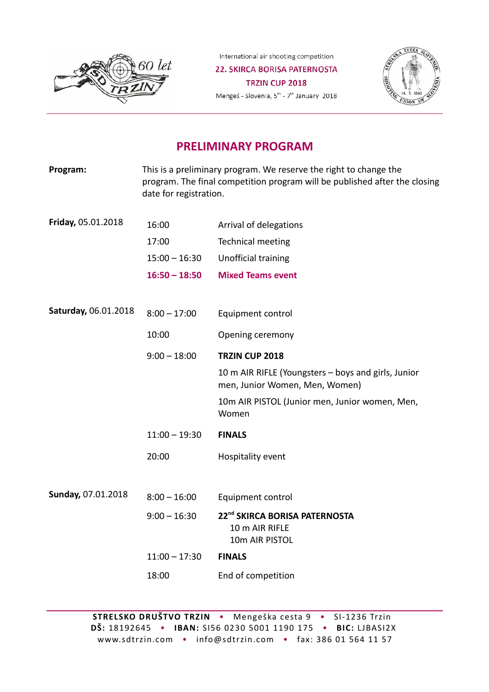



# **PRELIMINARY PROGRAM**

| Program:             | This is a preliminary program. We reserve the right to change the<br>program. The final competition program will be published after the closing<br>date for registration. |                                                                                       |
|----------------------|---------------------------------------------------------------------------------------------------------------------------------------------------------------------------|---------------------------------------------------------------------------------------|
| Friday, 05.01.2018   | 16:00                                                                                                                                                                     | Arrival of delegations                                                                |
|                      | 17:00                                                                                                                                                                     | <b>Technical meeting</b>                                                              |
|                      | $15:00 - 16:30$                                                                                                                                                           | Unofficial training                                                                   |
|                      | $16:50 - 18:50$                                                                                                                                                           | <b>Mixed Teams event</b>                                                              |
| Saturday, 06.01.2018 | $8:00 - 17:00$                                                                                                                                                            | Equipment control                                                                     |
|                      | 10:00                                                                                                                                                                     | Opening ceremony                                                                      |
|                      | $9:00 - 18:00$                                                                                                                                                            | TRZIN CUP 2018                                                                        |
|                      |                                                                                                                                                                           | 10 m AIR RIFLE (Youngsters - boys and girls, Junior<br>men, Junior Women, Men, Women) |
|                      |                                                                                                                                                                           | 10m AIR PISTOL (Junior men, Junior women, Men,<br>Women                               |
|                      | $11:00 - 19:30$                                                                                                                                                           | <b>FINALS</b>                                                                         |
|                      | 20:00                                                                                                                                                                     | Hospitality event                                                                     |
| Sunday, 07.01.2018   | $8:00 - 16:00$                                                                                                                                                            | Equipment control                                                                     |
|                      | $9:00 - 16:30$                                                                                                                                                            | 22 <sup>nd</sup> SKIRCA BORISA PATERNOSTA<br>10 m AIR RIFLE<br>10m AIR PISTOL         |
|                      | $11:00 - 17:30$                                                                                                                                                           | <b>FINALS</b>                                                                         |
|                      | 18:00                                                                                                                                                                     | End of competition                                                                    |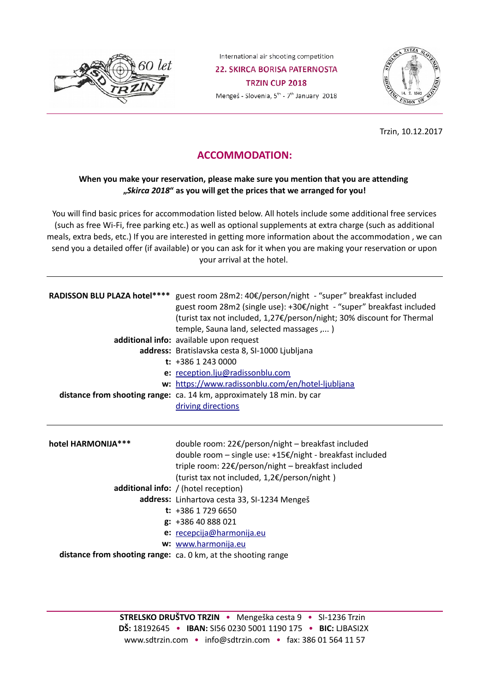



Trzin, 10.12.2017

## **ACCOMMODATION:**

### **When you make your reservation, please make sure you mention that you are attending "***Skirca 2018***" as you will get the prices that we arranged for you!**

You will find basic prices for accommodation listed below. All hotels include some additional free services (such as free Wi-Fi, free parking etc.) as well as optional supplements at extra charge (such as additional meals, extra beds, etc.) If you are interested in getting more information about the accommodation , we can send you a detailed offer (if available) or you can ask for it when you are making your reservation or upon your arrival at the hotel.

|                    | RADISSON BLU PLAZA hotel**** guest room 28m2: 40€/person/night - "super" breakfast included<br>guest room 28m2 (single use): +30€/night - "super" breakfast included<br>(turist tax not included, 1,27€/person/night; 30% discount for Thermal<br>temple, Sauna land, selected massages , ) |
|--------------------|---------------------------------------------------------------------------------------------------------------------------------------------------------------------------------------------------------------------------------------------------------------------------------------------|
|                    | additional info: available upon request                                                                                                                                                                                                                                                     |
|                    | address: Bratislavska cesta 8, SI-1000 Ljubljana                                                                                                                                                                                                                                            |
|                    | $t: +38612430000$                                                                                                                                                                                                                                                                           |
|                    | e: reception.lju@radissonblu.com                                                                                                                                                                                                                                                            |
|                    | w: https://www.radissonblu.com/en/hotel-ljubljana                                                                                                                                                                                                                                           |
|                    | distance from shooting range: ca. 14 km, approximately 18 min. by car                                                                                                                                                                                                                       |
|                    | driving directions                                                                                                                                                                                                                                                                          |
|                    |                                                                                                                                                                                                                                                                                             |
|                    |                                                                                                                                                                                                                                                                                             |
|                    |                                                                                                                                                                                                                                                                                             |
| hotel HARMONIJA*** | double room: 22€/person/night – breakfast included                                                                                                                                                                                                                                          |
|                    | double room – single use: +15€/night - breakfast included                                                                                                                                                                                                                                   |
|                    | triple room: 22€/person/night – breakfast included                                                                                                                                                                                                                                          |
|                    | (turist tax not included, 1,2€/person/night)                                                                                                                                                                                                                                                |
|                    | additional info: / (hotel reception)                                                                                                                                                                                                                                                        |
|                    | address: Linhartova cesta 33, SI-1234 Mengeš                                                                                                                                                                                                                                                |
|                    | $t: +38617296650$                                                                                                                                                                                                                                                                           |
|                    | $g: +38640888021$                                                                                                                                                                                                                                                                           |
|                    | e: recepcija@harmonija.eu                                                                                                                                                                                                                                                                   |
|                    | w: www.harmonija.eu                                                                                                                                                                                                                                                                         |